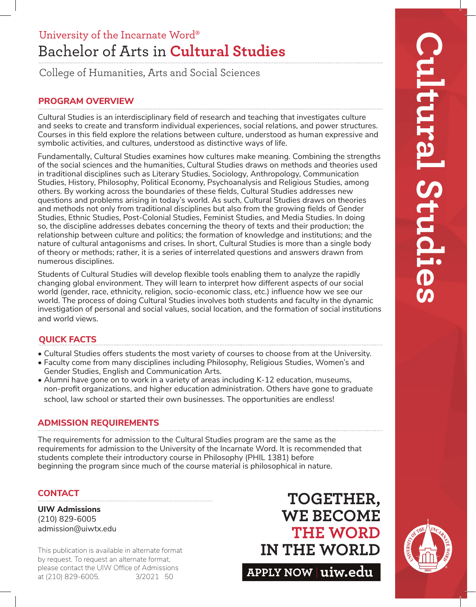## Bachelor of Arts in **Cultural Studies** University of the Incarnate Word®

College of Humanities, Arts and Social Sciences

### **PROGRAM OVERVIEW**

Cultural Studies is an interdisciplinary field of research and teaching that investigates culture and seeks to create and transform individual experiences, social relations, and power structures. Courses in this field explore the relations between culture, understood as human expressive and symbolic activities, and cultures, understood as distinctive ways of life.

Fundamentally, Cultural Studies examines how cultures make meaning. Combining the strengths of the social sciences and the humanities, Cultural Studies draws on methods and theories used in traditional disciplines such as Literary Studies, Sociology, Anthropology, Communication Studies, History, Philosophy, Political Economy, Psychoanalysis and Religious Studies, among others. By working across the boundaries of these fields, Cultural Studies addresses new questions and problems arising in today's world. As such, Cultural Studies draws on theories and methods not only from traditional disciplines but also from the growing fields of Gender Studies, Ethnic Studies, Post-Colonial Studies, Feminist Studies, and Media Studies. In doing so, the discipline addresses debates concerning the theory of texts and their production; the relationship between culture and politics; the formation of knowledge and institutions; and the nature of cultural antagonisms and crises. In short, Cultural Studies is more than a single body of theory or methods; rather, it is a series of interrelated questions and answers drawn from numerous disciplines.

Students of Cultural Studies will develop flexible tools enabling them to analyze the rapidly changing global environment. They will learn to interpret how different aspects of our social world (gender, race, ethnicity, religion, socio-economic class, etc.) influence how we see our world. The process of doing Cultural Studies involves both students and faculty in the dynamic investigation of personal and social values, social location, and the formation of social institutions and world views.

### **QUICK FACTS**

- Cultural Studies offers students the most variety of courses to choose from at the University.
- Faculty come from many disciplines including Philosophy, Religious Studies, Women's and Gender Studies, English and Communication Arts.
- Alumni have gone on to work in a variety of areas including K-12 education, museums, non-profit organizations, and higher education administration. Others have gone to graduate school, law school or started their own businesses. The opportunities are endless!

### **ADMISSION REQUIREMENTS**

The requirements for admission to the Cultural Studies program are the same as the requirements for admission to the University of the Incarnate Word. It is recommended that students complete their introductory course in Philosophy (PHIL 1381) before beginning the program since much of the course material is philosophical in nature.

### **CONTACT**

**UIW Admissions** (210) 829-6005 admission@uiwtx.edu

by request. To request an alternate format, please contact the UIW Office of Admissions at (210) 829-6005. 3/2021 50

## **TOGETHER, WE BECOME THE WORD** This publication is available in alternate format **IN THE WORLD**

**APPLY NOW uiw.edu**